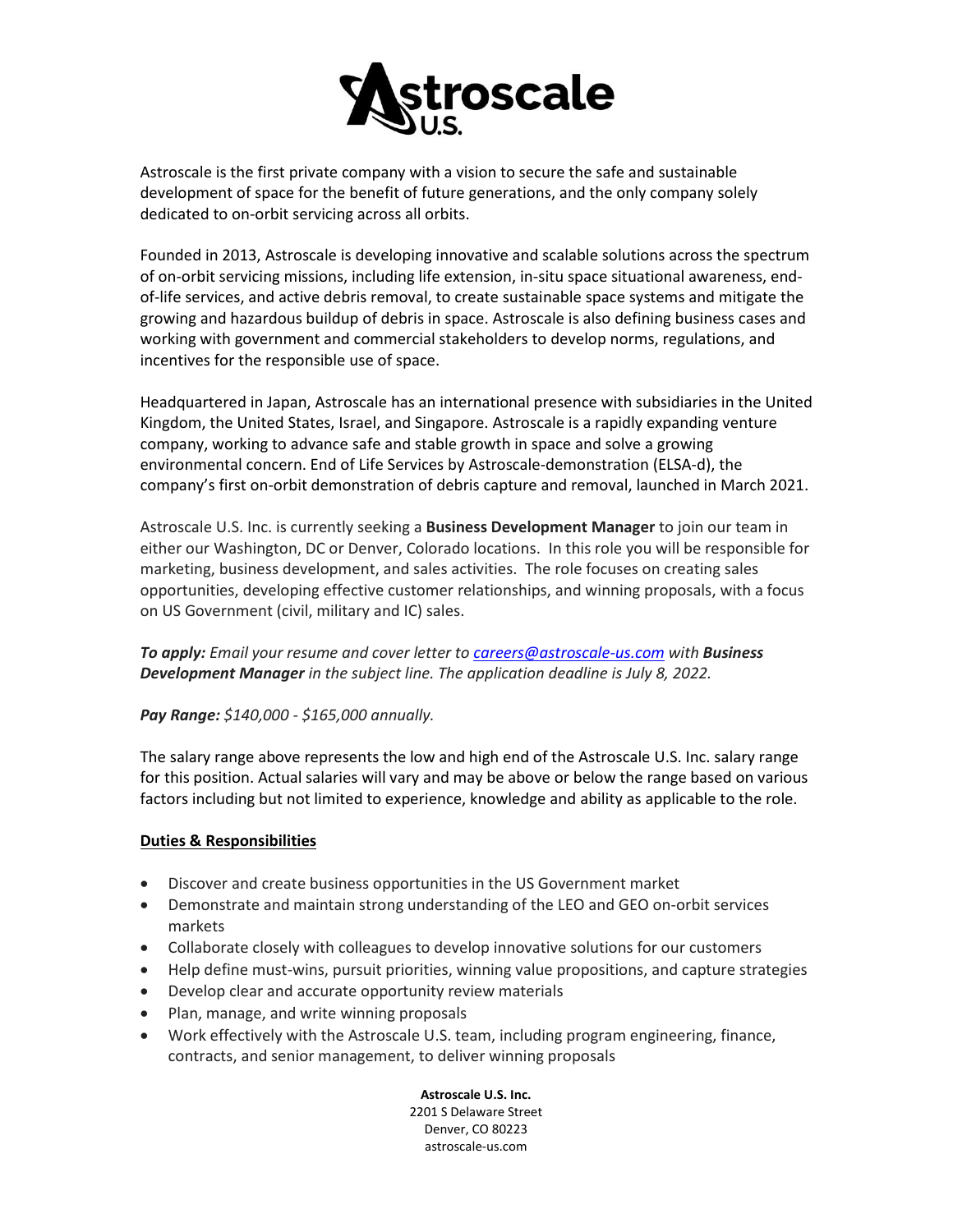

Astroscale is the first private company with a vision to secure the safe and sustainable development of space for the benefit of future generations, and the only company solely dedicated to on-orbit servicing across all orbits.

Founded in 2013, Astroscale is developing innovative and scalable solutions across the spectrum of on-orbit servicing missions, including life extension, in-situ space situational awareness, endof-life services, and active debris removal, to create sustainable space systems and mitigate the growing and hazardous buildup of debris in space. Astroscale is also defining business cases and working with government and commercial stakeholders to develop norms, regulations, and incentives for the responsible use of space.

Headquartered in Japan, Astroscale has an international presence with subsidiaries in the United Kingdom, the United States, Israel, and Singapore. Astroscale is a rapidly expanding venture company, working to advance safe and stable growth in space and solve a growing environmental concern. End of Life Services by Astroscale-demonstration (ELSA-d), the company's first on-orbit demonstration of debris capture and removal, launched in March 2021.

Astroscale U.S. Inc. is currently seeking a **Business Development Manager** to join our team in either our Washington, DC or Denver, Colorado locations. In this role you will be responsible for marketing, business development, and sales activities. The role focuses on creating sales opportunities, developing effective customer relationships, and winning proposals, with a focus on US Government (civil, military and IC) sales.

*To apply: Email your resume and cover letter to [careers@astroscale-us.com](mailto:careers@astroscale-us.com) with Business Development Manager in the subject line. The application deadline is July 8, 2022.*

## *Pay Range: \$140,000 - \$165,000 annually.*

The salary range above represents the low and high end of the Astroscale U.S. Inc. salary range for this position. Actual salaries will vary and may be above or below the range based on various factors including but not limited to experience, knowledge and ability as applicable to the role.

## **Duties & Responsibilities**

- Discover and create business opportunities in the US Government market
- Demonstrate and maintain strong understanding of the LEO and GEO on-orbit services markets
- Collaborate closely with colleagues to develop innovative solutions for our customers
- Help define must-wins, pursuit priorities, winning value propositions, and capture strategies
- Develop clear and accurate opportunity review materials
- Plan, manage, and write winning proposals
- Work effectively with the Astroscale U.S. team, including program engineering, finance, contracts, and senior management, to deliver winning proposals

**Astroscale U.S. Inc.** 2201 S Delaware Street Denver, CO 80223 astroscale-us.com